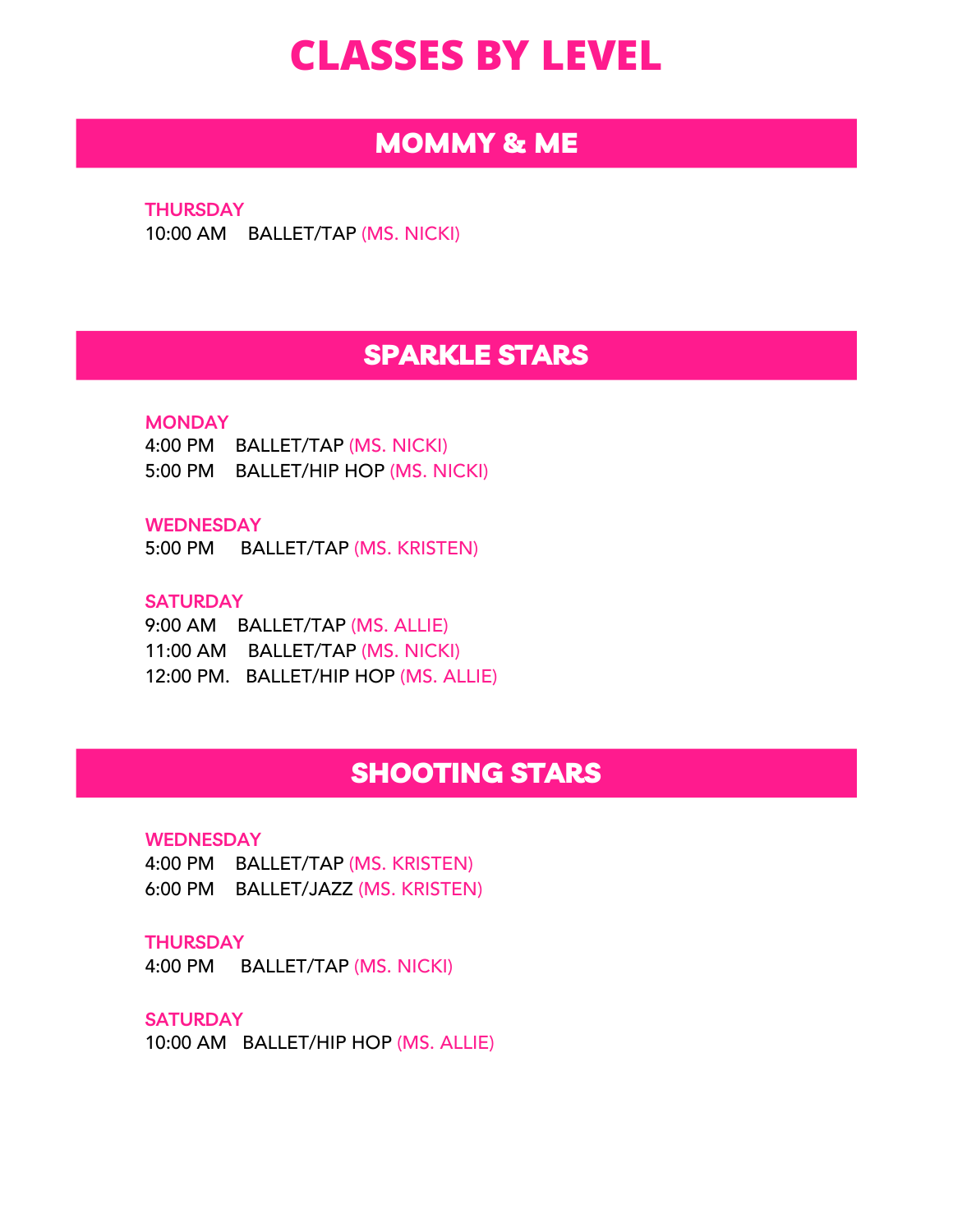# **CLASSES BY LEVEL**

# MOMMY & ME

**THURSDAY** 10:00 AM BALLET/TAP (MS. NICKI)

# SPARKLE STARS

### **MONDAY**

4:00 PM BALLET/TAP (MS. NICKI) 5:00 PM BALLET/HIP HOP (MS. NICKI)

**WEDNESDAY**

5:00 PM BALLET/TAP (MS. KRISTEN)

## **SATURDAY**

9:00 AM BALLET/TAP (MS. ALLIE) 11:00 AM BALLET/TAP (MS. NICKI) 12:00 PM. BALLET/HIP HOP (MS. ALLIE)

# SHOOTING STARS

#### **WEDNESDAY**

4:00 PM BALLET/TAP (MS. KRISTEN) 6:00 PM BALLET/JAZZ (MS. KRISTEN)

#### **THURSDAY**

4:00 PM BALLET/TAP (MS. NICKI)

## **SATURDAY**

10:00 AM BALLET/HIP HOP (MS. ALLIE)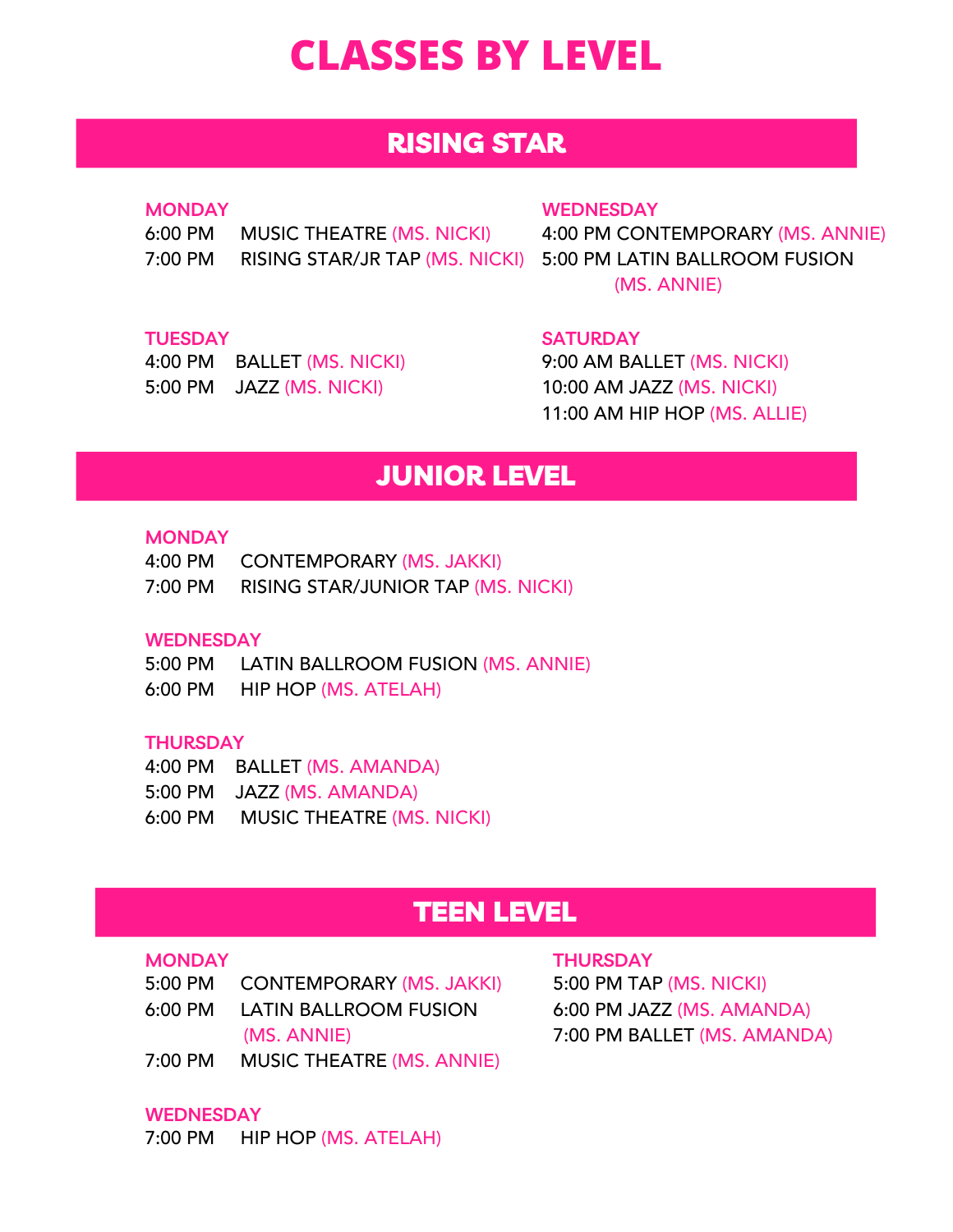# **CLASSES BY LEVEL**

# RISING STAR

## **MONDAY**

6:00 PM MUSIC THEATRE (MS. NICKI) 7:00 PM RISING STAR/JR TAP (MS. NICKI) 5:00 PM LATIN BALLROOM FUSION

### **WEDNESDAY**

4:00 PM CONTEMPORARY (MS. ANNIE) (MS. ANNIE)

## **TUESDAY**

| 4:00 PM | <b>BALLET (MS. NICKI)</b> |
|---------|---------------------------|
| 5:00 PM | JAZZ (MS. NICKI)          |

**SATURDAY**

9:00 AM BALLET (MS. NICKI) 10:00 AM JAZZ (MS. NICKI) 11:00 AM HIP HOP (MS. ALLIE)

# JUNIOR LEVEL

### **MONDAY**

| $4:00 \, \text{PM}$ | CONTEMPORARY (MS. JAKKI)                  |
|---------------------|-------------------------------------------|
| 7:00 PM             | <b>RISING STAR/JUNIOR TAP (MS. NICKI)</b> |

### **WEDNESDAY**

5:00 PM LATIN BALLROOM FUSION (MS. ANNIE) 6:00 PM HIP HOP (MS. ATELAH)

## **THURSDAY**

4:00 PM BALLET (MS. AMANDA)

- 5:00 PM JAZZ (MS. AMANDA)
- 6:00 PM MUSIC THEATRE (MS. NICKI)

# TEEN LEVEL

#### **MONDAY**

- 5:00 PM CONTEMPORARY (MS. JAKKI)
- 6:00 PM LATIN BALLROOM FUSION (MS. ANNIE)
- 7:00 PM MUSIC THEATRE (MS. ANNIE)

## **WEDNESDAY**

7:00 PM HIP HOP (MS. ATELAH)

#### **THURSDAY**

5:00 PM TAP (MS. NICKI) 6:00 PM JAZZ (MS. AMANDA) 7:00 PM BALLET (MS. AMANDA)